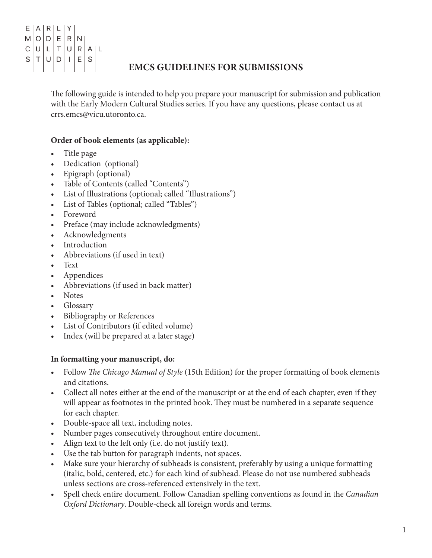#### $|A|R|L|Y$ Ε  $O|D$  $E|R|N$ M  $\mathsf{C}$  $\cup$  $\mathsf{L}$  $T|U|$  $R$   $A$   $L$ S  $\top$ l u  $D|I|E|S$

# **EMCS GUIDELINES FOR SUBMISSIONS**

The following guide is intended to help you prepare your manuscript for submission and publication with the Early Modern Cultural Studies series. If you have any questions, please contact us at crrs.emcs@vicu.utoronto.ca.

## **Order of book elements (as applicable):**

- Title page
- Dedication (optional)
- Epigraph (optional)
- Table of Contents (called "Contents")
- List of Illustrations (optional; called "Illustrations")
- List of Tables (optional; called "Tables")
- **Foreword**
- Preface (may include acknowledgments)
- Acknowledgments
- **Introduction**
- Abbreviations (if used in text)
- Text
- **Appendices**
- Abbreviations (if used in back matter)
- **Notes**
- • Glossary
- **Bibliography or References**
- List of Contributors (if edited volume)
- Index (will be prepared at a later stage)

### **In formatting your manuscript, do:**

- • Follow *The Chicago Manual of Style* (15th Edition) for the proper formatting of book elements and citations.
- Collect all notes either at the end of the manuscript or at the end of each chapter, even if they will appear as footnotes in the printed book. They must be numbered in a separate sequence for each chapter.
- Double-space all text, including notes.
- Number pages consecutively throughout entire document.
- Align text to the left only (i.e. do not justify text).
- Use the tab button for paragraph indents, not spaces.
- Make sure your hierarchy of subheads is consistent, preferably by using a unique formatting (italic, bold, centered, etc.) for each kind of subhead. Please do not use numbered subheads unless sections are cross-referenced extensively in the text.
- Spell check entire document. Follow Canadian spelling conventions as found in the *Canadian Oxford Dictionary*. Double-check all foreign words and terms.